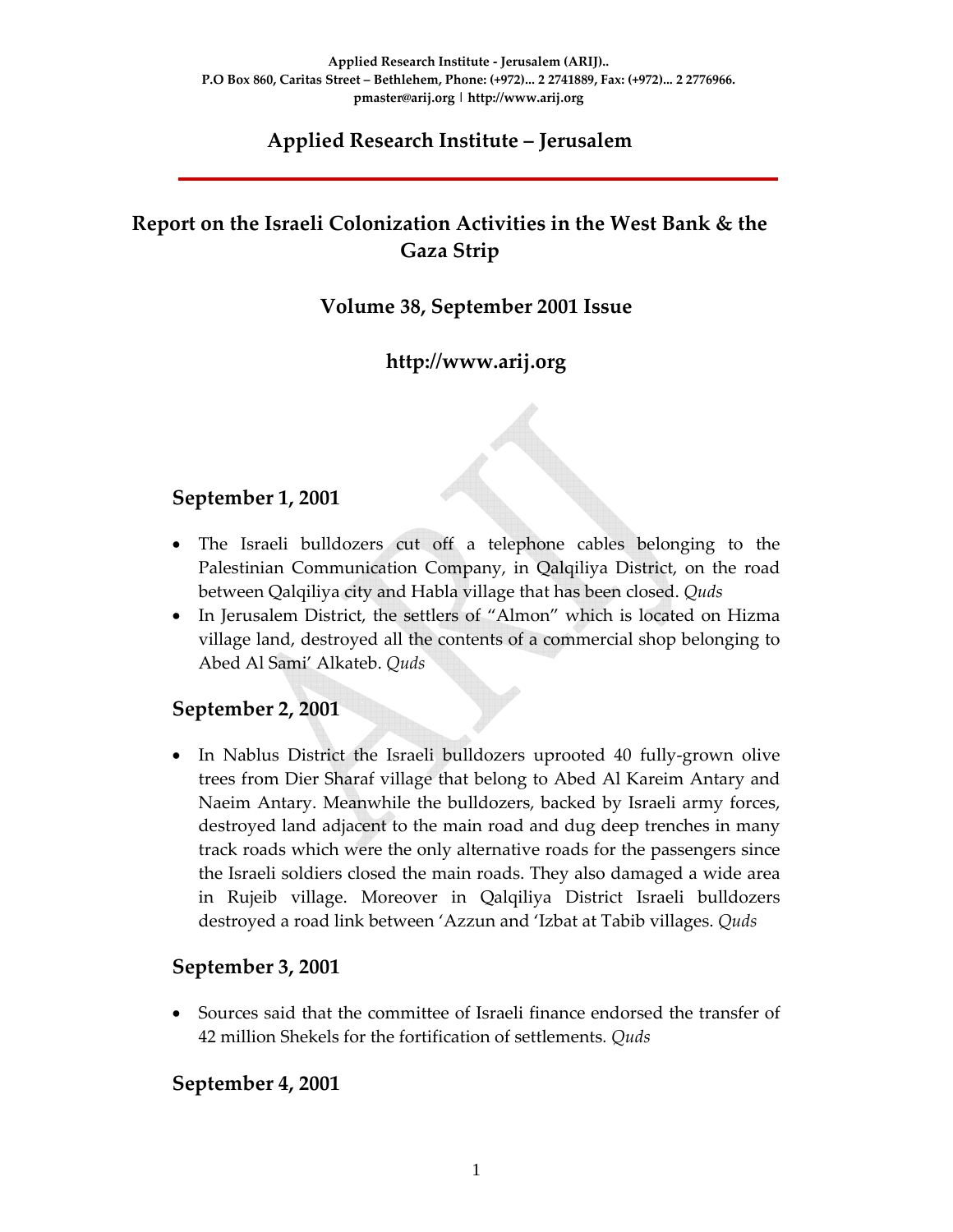## **Applied Research Institute – Jerusalem**

# **Report on the Israeli Colonization Activities in the West Bank & the Gaza Strip**

## **Volume 38, September 2001 Issue**

## **http://www.arij.org**

#### **September 1, 2001**

- The Israeli bulldozers cut off a telephone cables belonging to the Palestinian Communication Company, in Qalqiliya District, on the road between Qalqiliya city and Habla village that has been closed. *Quds*
- In Jerusalem District, the settlers of "Almon" which is located on Hizma village land, destroyed all the contents of a commercial shop belonging to Abed Al Sami' Alkateb. *Quds*

#### **September 2, 2001**

• In Nablus District the Israeli bulldozers uprooted 40 fully-grown olive trees from Dier Sharaf village that belong to Abed Al Kareim Antary and Naeim Antary. Meanwhile the bulldozers, backed by Israeli army forces, destroyed land adjacent to the main road and dug deep trenches in many track roads which were the only alternative roads for the passengers since the Israeli soldiers closed the main roads. They also damaged a wide area in Rujeib village. Moreover in Qalqiliya District Israeli bulldozers destroyed a road link between 'Azzun and 'Izbat at Tabib villages. *Quds*

#### **September 3, 2001**

• Sources said that the committee of Israeli finance endorsed the transfer of 42 million Shekels for the fortification of settlements*. Quds*

#### **September 4, 2001**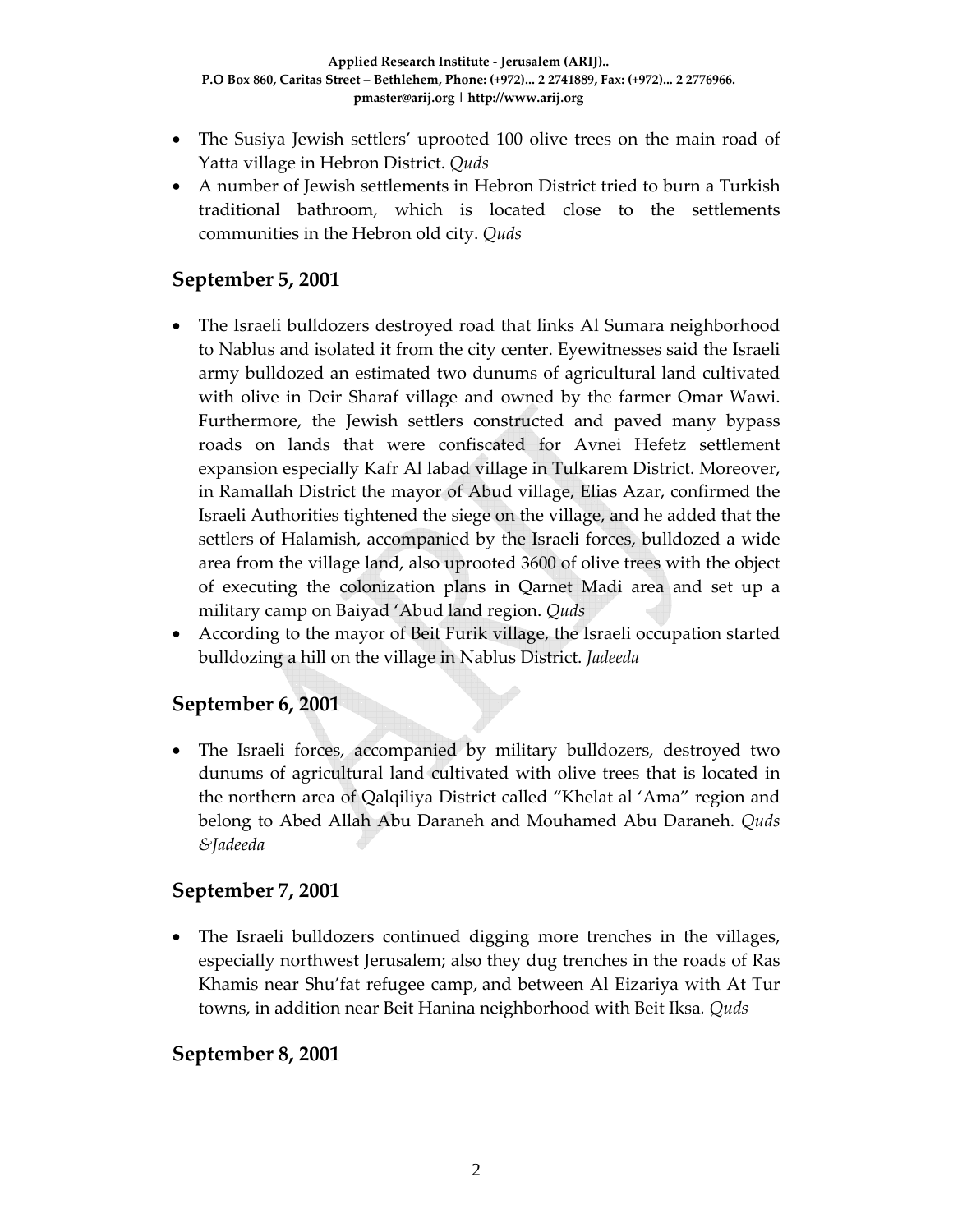- The Susiya Jewish settlers' uprooted 100 olive trees on the main road of Yatta village in Hebron District. *Quds*
- A number of Jewish settlements in Hebron District tried to burn a Turkish traditional bathroom, which is located close to the settlements communities in the Hebron old city. *Quds*

## **September 5, 2001**

- The Israeli bulldozers destroyed road that links Al Sumara neighborhood to Nablus and isolated it from the city center. Eyewitnesses said the Israeli army bulldozed an estimated two dunums of agricultural land cultivated with olive in Deir Sharaf village and owned by the farmer Omar Wawi. Furthermore, the Jewish settlers constructed and paved many bypass roads on lands that were confiscated for Avnei Hefetz settlement expansion especially Kafr Al labad village in Tulkarem District. Moreover, in Ramallah District the mayor of Abud village, Elias Azar, confirmed the Israeli Authorities tightened the siege on the village, and he added that the settlers of Halamish, accompanied by the Israeli forces, bulldozed a wide area from the village land, also uprooted 3600 of olive trees with the object of executing the colonization plans in Qarnet Madi area and set up a military camp on Baiyad 'Abud land region. *Quds*
- According to the mayor of Beit Furik village, the Israeli occupation started bulldozing a hill on the village in Nablus District. *Jadeeda*

## **September 6, 2001**

• The Israeli forces, accompanied by military bulldozers, destroyed two dunums of agricultural land cultivated with olive trees that is located in the northern area of Qalqiliya District called "Khelat al 'Ama" region and belong to Abed Allah Abu Daraneh and Mouhamed Abu Daraneh. *Quds &Jadeeda*

#### **September 7, 2001**

• The Israeli bulldozers continued digging more trenches in the villages, especially northwest Jerusalem; also they dug trenches in the roads of Ras Khamis near Shu'fat refugee camp, and between Al Eizariya with At Tur towns, in addition near Beit Hanina neighborhood with Beit Iksa*. Quds*

#### **September 8, 2001**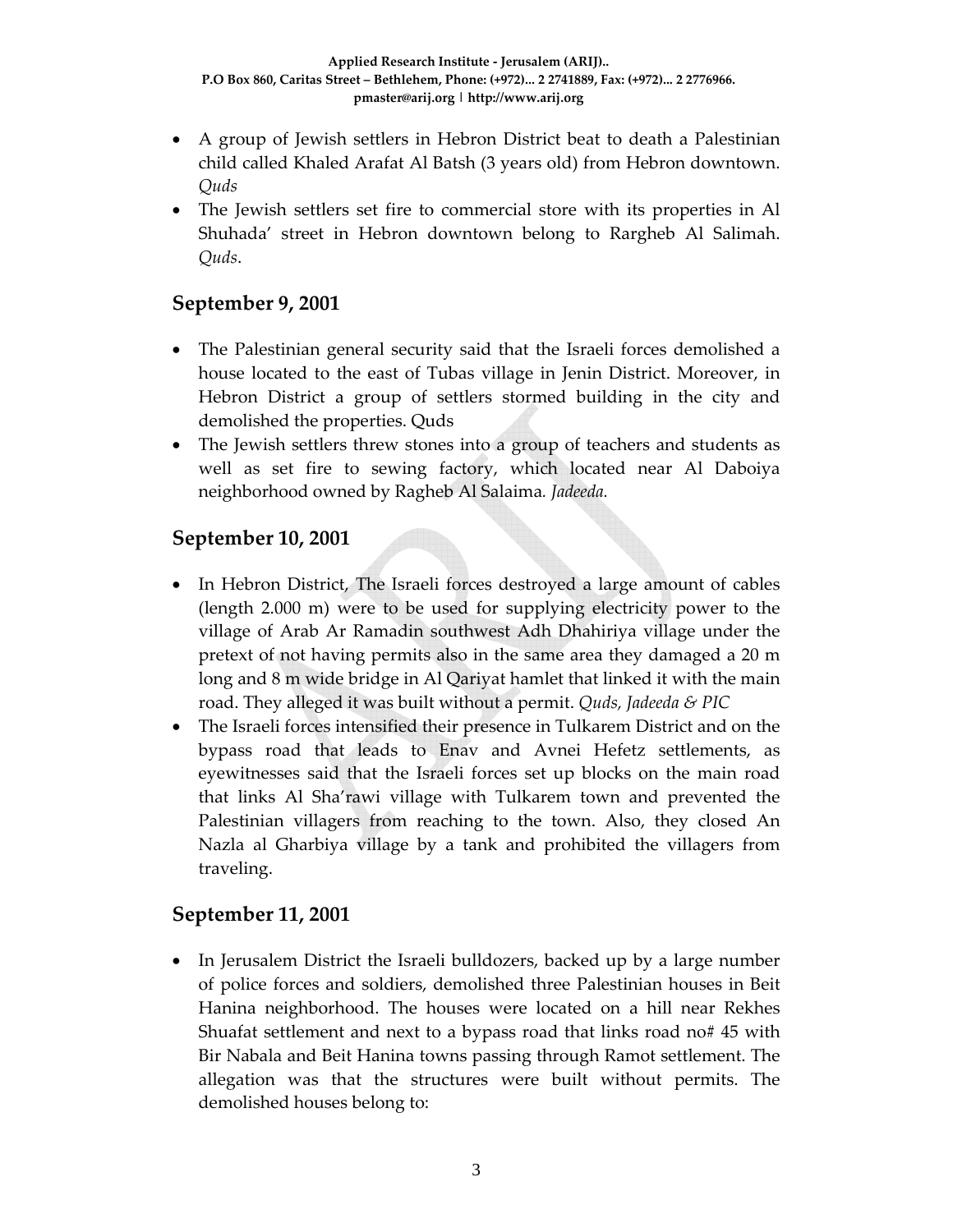- A group of Jewish settlers in Hebron District beat to death a Palestinian child called Khaled Arafat Al Batsh (3 years old) from Hebron downtown. *Quds*
- The Jewish settlers set fire to commercial store with its properties in Al Shuhada' street in Hebron downtown belong to Rargheb Al Salimah. *Quds*.

## **September 9, 2001**

- The Palestinian general security said that the Israeli forces demolished a house located to the east of Tubas village in Jenin District. Moreover, in Hebron District a group of settlers stormed building in the city and demolished the properties. Quds
- The Jewish settlers threw stones into a group of teachers and students as well as set fire to sewing factory, which located near Al Daboiya neighborhood owned by Ragheb Al Salaima*. Jadeeda.*

### **September 10, 2001**

- In Hebron District, The Israeli forces destroyed a large amount of cables (length 2.000 m) were to be used for supplying electricity power to the village of Arab Ar Ramadin southwest Adh Dhahiriya village under the pretext of not having permits also in the same area they damaged a 20 m long and 8 m wide bridge in Al Qariyat hamlet that linked it with the main road. They alleged it was built without a permit. *Quds, Jadeeda & PIC*
- The Israeli forces intensified their presence in Tulkarem District and on the bypass road that leads to Enav and Avnei Hefetz settlements, as eyewitnesses said that the Israeli forces set up blocks on the main road that links Al Sha'rawi village with Tulkarem town and prevented the Palestinian villagers from reaching to the town. Also, they closed An Nazla al Gharbiya village by a tank and prohibited the villagers from traveling.

#### **September 11, 2001**

• In Jerusalem District the Israeli bulldozers, backed up by a large number of police forces and soldiers, demolished three Palestinian houses in Beit Hanina neighborhood. The houses were located on a hill near Rekhes Shuafat settlement and next to a bypass road that links road no# 45 with Bir Nabala and Beit Hanina towns passing through Ramot settlement. The allegation was that the structures were built without permits. The demolished houses belong to: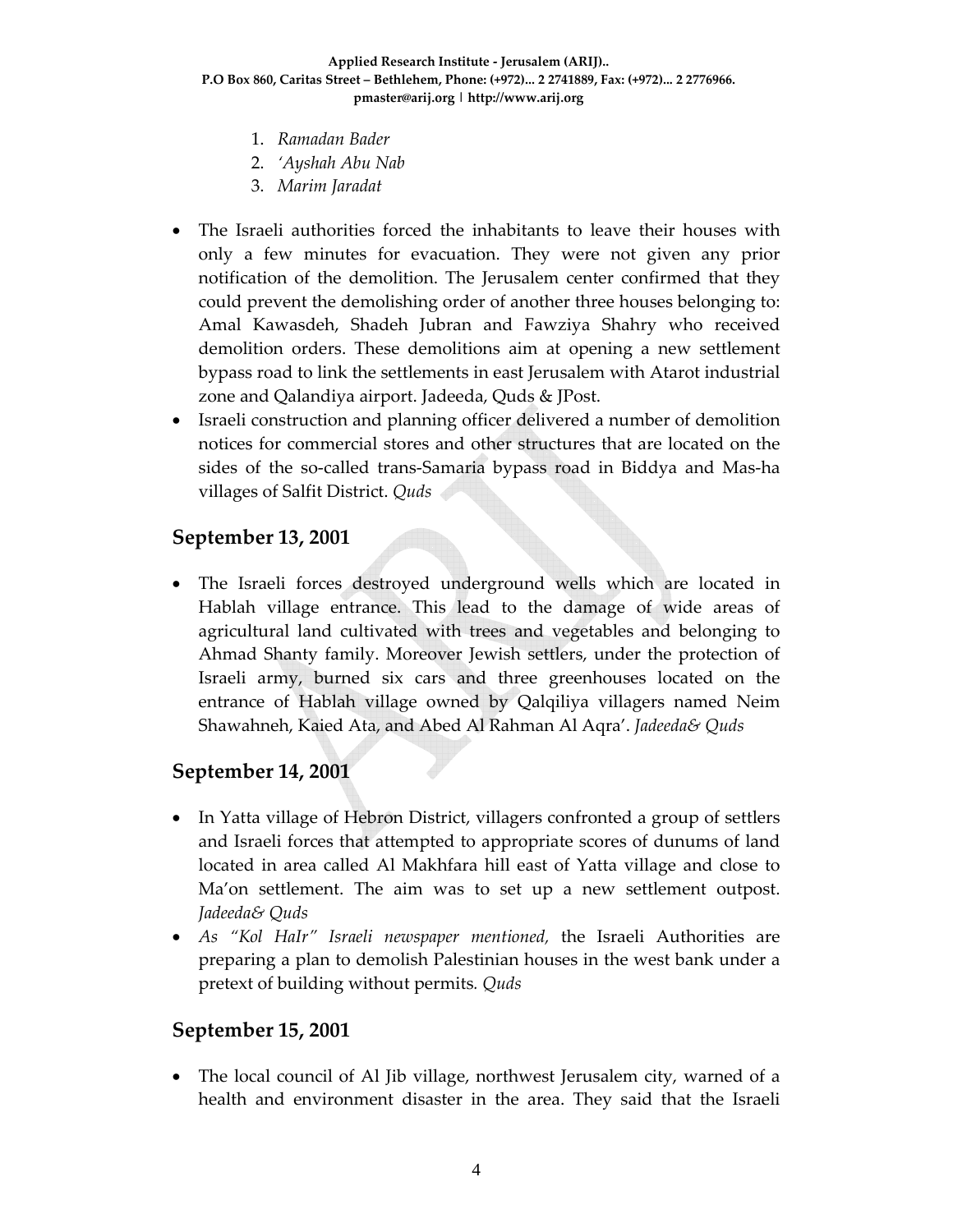- 1. *Ramadan Bader*
- 2. *'Ayshah Abu Nab*
- 3. *Marim Jaradat*
- The Israeli authorities forced the inhabitants to leave their houses with only a few minutes for evacuation. They were not given any prior notification of the demolition. The Jerusalem center confirmed that they could prevent the demolishing order of another three houses belonging to: Amal Kawasdeh, Shadeh Jubran and Fawziya Shahry who received demolition orders. These demolitions aim at opening a new settlement bypass road to link the settlements in east Jerusalem with Atarot industrial zone and Qalandiya airport. Jadeeda, Quds & JPost.
- Israeli construction and planning officer delivered a number of demolition notices for commercial stores and other structures that are located on the sides of the so‐called trans‐Samaria bypass road in Biddya and Mas‐ha villages of Salfit District. *Quds*

#### **September 13, 2001**

• The Israeli forces destroyed underground wells which are located in Hablah village entrance. This lead to the damage of wide areas of agricultural land cultivated with trees and vegetables and belonging to Ahmad Shanty family. Moreover Jewish settlers, under the protection of Israeli army, burned six cars and three greenhouses located on the entrance of Hablah village owned by Qalqiliya villagers named Neim Shawahneh, Kaied Ata, and Abed Al Rahman Al Aqra'. *Jadeeda& Quds*

#### **September 14, 2001**

- In Yatta village of Hebron District, villagers confronted a group of settlers and Israeli forces that attempted to appropriate scores of dunums of land located in area called Al Makhfara hill east of Yatta village and close to Ma'on settlement. The aim was to set up a new settlement outpost. *Jadeeda& Quds*
- *As "Kol HaIr" Israeli newspaper mentioned,* the Israeli Authorities are preparing a plan to demolish Palestinian houses in the west bank under a pretext of building without permits*. Quds*

#### **September 15, 2001**

• The local council of Al Jib village, northwest Jerusalem city, warned of a health and environment disaster in the area. They said that the Israeli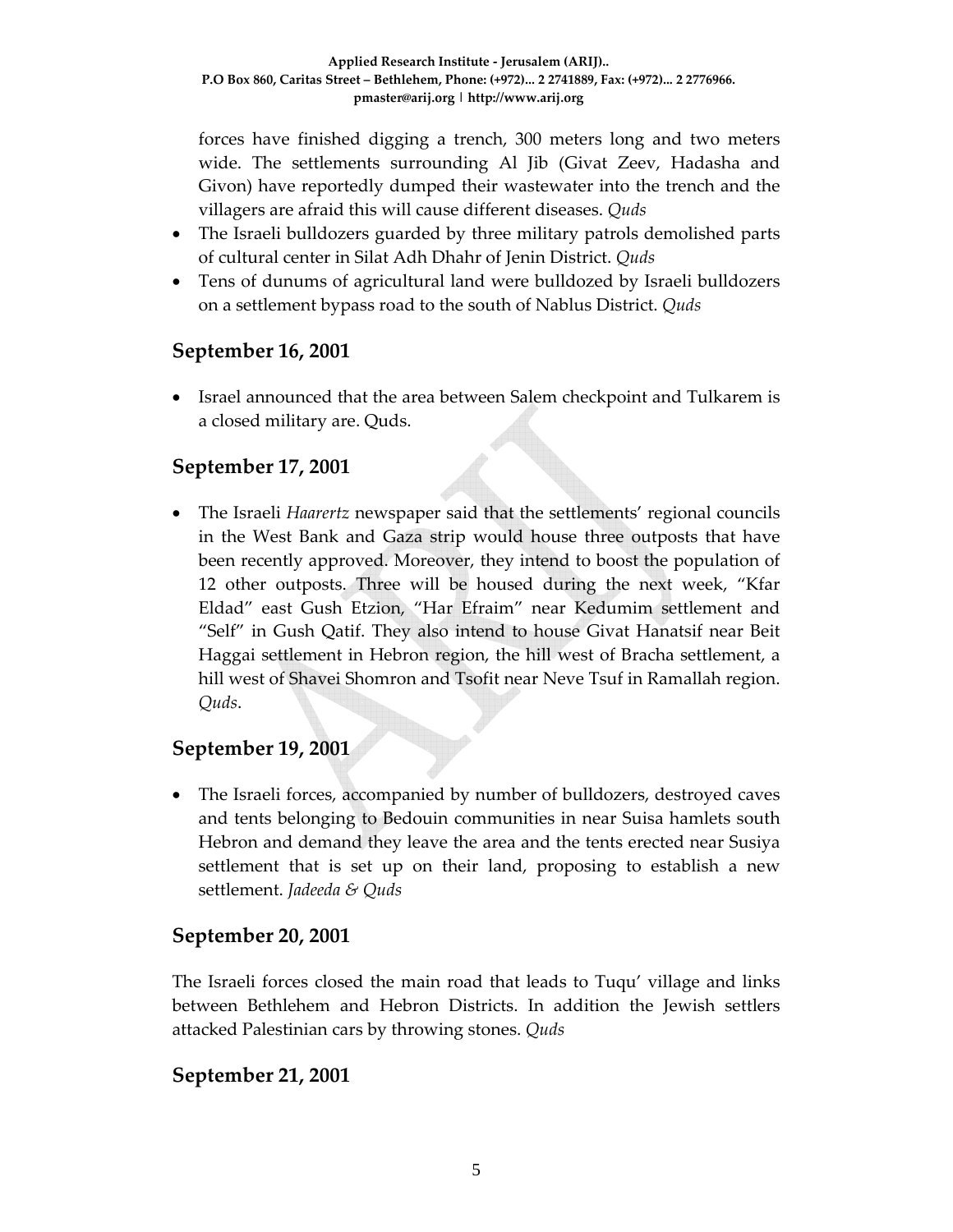forces have finished digging a trench, 300 meters long and two meters wide. The settlements surrounding Al Jib (Givat Zeev, Hadasha and Givon) have reportedly dumped their wastewater into the trench and the villagers are afraid this will cause different diseases. *Quds*

- The Israeli bulldozers guarded by three military patrols demolished parts of cultural center in Silat Adh Dhahr of Jenin District. *Quds*
- Tens of dunums of agricultural land were bulldozed by Israeli bulldozers on a settlement bypass road to the south of Nablus District. *Quds*

### **September 16, 2001**

• Israel announced that the area between Salem checkpoint and Tulkarem is a closed military are. Quds.

### **September 17, 2001**

• The Israeli *Haarertz* newspaper said that the settlements' regional councils in the West Bank and Gaza strip would house three outposts that have been recently approved. Moreover, they intend to boost the population of 12 other outposts. Three will be housed during the next week, "Kfar Eldad" east Gush Etzion, "Har Efraim" near Kedumim settlement and "Self" in Gush Qatif. They also intend to house Givat Hanatsif near Beit Haggai settlement in Hebron region, the hill west of Bracha settlement, a hill west of Shavei Shomron and Tsofit near Neve Tsuf in Ramallah region. *Quds*.

#### **September 19, 2001**

• The Israeli forces, accompanied by number of bulldozers, destroyed caves and tents belonging to Bedouin communities in near Suisa hamlets south Hebron and demand they leave the area and the tents erected near Susiya settlement that is set up on their land, proposing to establish a new settlement. *Jadeeda & Quds*

#### **September 20, 2001**

The Israeli forces closed the main road that leads to Tuqu' village and links between Bethlehem and Hebron Districts. In addition the Jewish settlers attacked Palestinian cars by throwing stones. *Quds*

#### **September 21, 2001**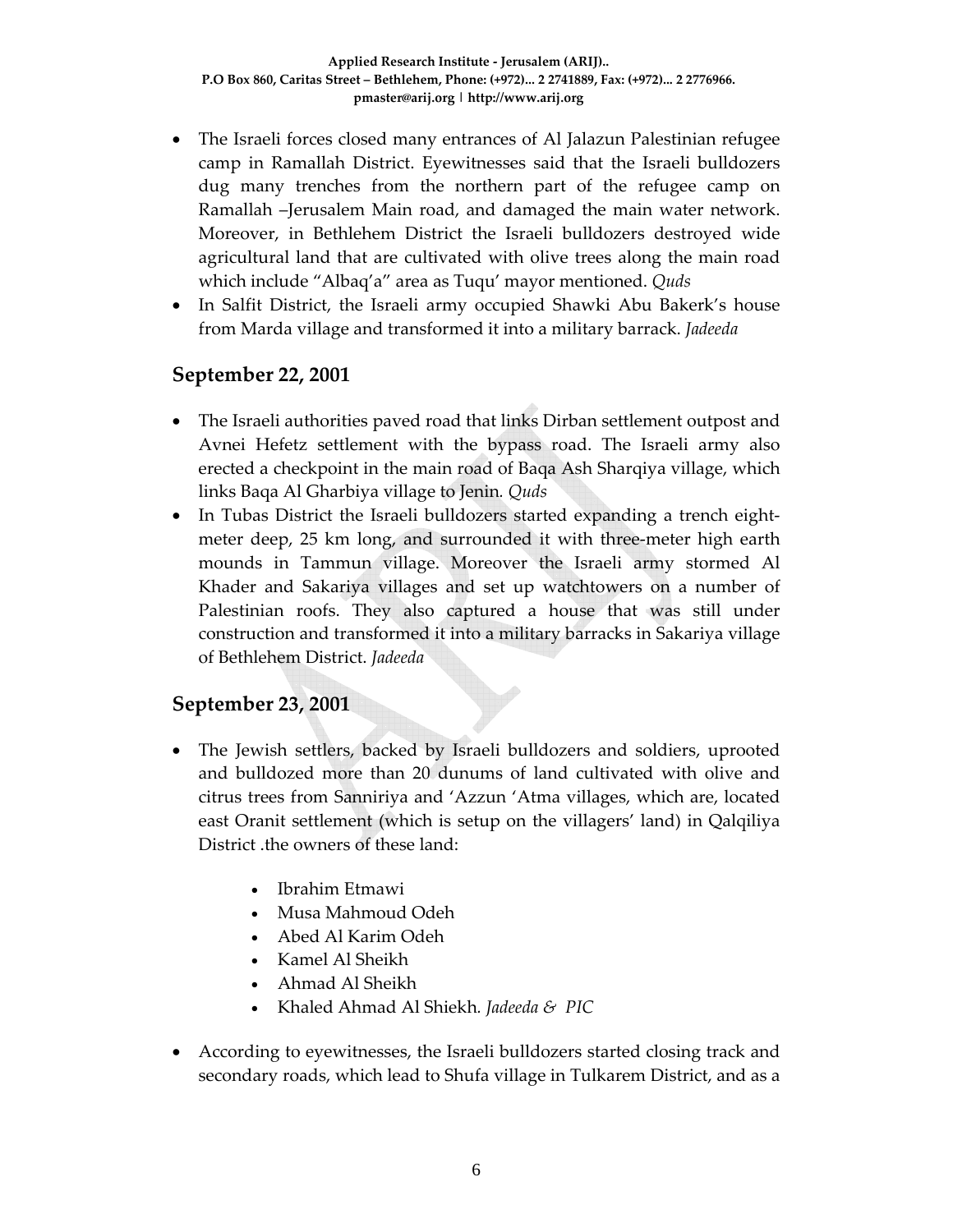- The Israeli forces closed many entrances of Al Jalazun Palestinian refugee camp in Ramallah District. Eyewitnesses said that the Israeli bulldozers dug many trenches from the northern part of the refugee camp on Ramallah –Jerusalem Main road, and damaged the main water network. Moreover, in Bethlehem District the Israeli bulldozers destroyed wide agricultural land that are cultivated with olive trees along the main road which include "Albaq'a" area as Tuqu' mayor mentioned. *Quds*
- In Salfit District, the Israeli army occupied Shawki Abu Bakerk's house from Marda village and transformed it into a military barrack. *Jadeeda*

#### **September 22, 2001**

- The Israeli authorities paved road that links Dirban settlement outpost and Avnei Hefetz settlement with the bypass road. The Israeli army also erected a checkpoint in the main road of Baqa Ash Sharqiya village, which links Baqa Al Gharbiya village to Jenin*. Quds*
- In Tubas District the Israeli bulldozers started expanding a trench eightmeter deep, 25 km long, and surrounded it with three-meter high earth mounds in Tammun village. Moreover the Israeli army stormed Al Khader and Sakariya villages and set up watchtowers on a number of Palestinian roofs. They also captured a house that was still under construction and transformed it into a military barracks in Sakariya village of Bethlehem District. *Jadeeda*

#### **September 23, 2001**

- The Jewish settlers, backed by Israeli bulldozers and soldiers, uprooted and bulldozed more than 20 dunums of land cultivated with olive and citrus trees from Sanniriya and 'Azzun 'Atma villages, which are, located east Oranit settlement (which is setup on the villagers' land) in Qalqiliya District .the owners of these land:
	- Ibrahim Etmawi
	- Musa Mahmoud Odeh
	- Abed Al Karim Odeh
	- Kamel Al Sheikh
	- Ahmad Al Sheikh
	- Khaled Ahmad Al Shiekh*. Jadeeda & PIC*
- According to eyewitnesses, the Israeli bulldozers started closing track and secondary roads, which lead to Shufa village in Tulkarem District, and as a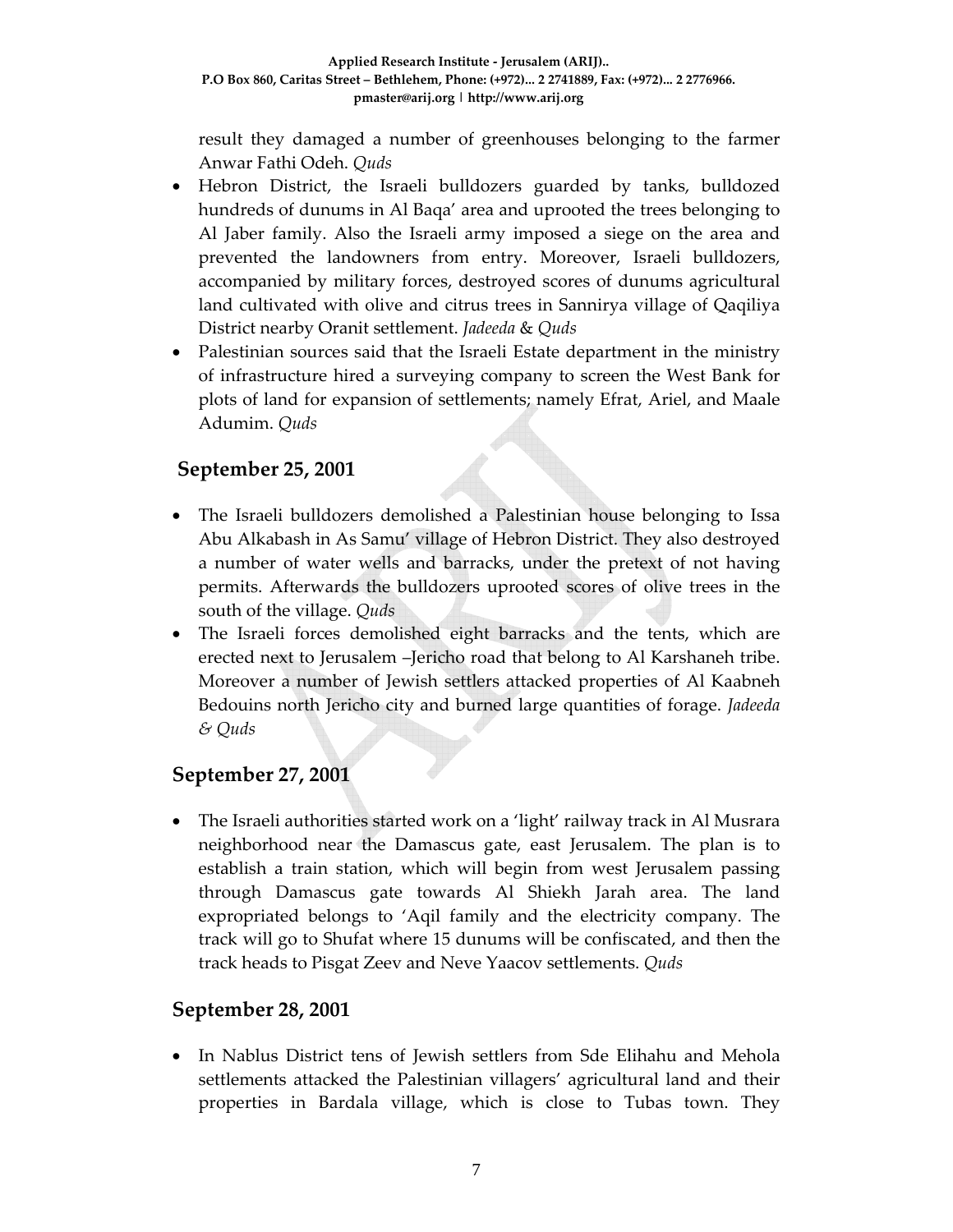result they damaged a number of greenhouses belonging to the farmer Anwar Fathi Odeh. *Quds* 

- Hebron District, the Israeli bulldozers guarded by tanks, bulldozed hundreds of dunums in Al Baqa' area and uprooted the trees belonging to Al Jaber family. Also the Israeli army imposed a siege on the area and prevented the landowners from entry. Moreover, Israeli bulldozers, accompanied by military forces, destroyed scores of dunums agricultural land cultivated with olive and citrus trees in Sannirya village of Qaqiliya District nearby Oranit settlement. *Jadeeda* & *Quds*
- Palestinian sources said that the Israeli Estate department in the ministry of infrastructure hired a surveying company to screen the West Bank for plots of land for expansion of settlements; namely Efrat, Ariel, and Maale Adumim. *Quds*

## **September 25, 2001**

- The Israeli bulldozers demolished a Palestinian house belonging to Issa Abu Alkabash in As Samu' village of Hebron District. They also destroyed a number of water wells and barracks, under the pretext of not having permits. Afterwards the bulldozers uprooted scores of olive trees in the south of the village. *Quds*
- The Israeli forces demolished eight barracks and the tents, which are erected next to Jerusalem –Jericho road that belong to Al Karshaneh tribe. Moreover a number of Jewish settlers attacked properties of Al Kaabneh Bedouins north Jericho city and burned large quantities of forage. *Jadeeda & Quds*

## **September 27, 2001**

• The Israeli authorities started work on a 'light' railway track in Al Musrara neighborhood near the Damascus gate, east Jerusalem. The plan is to establish a train station, which will begin from west Jerusalem passing through Damascus gate towards Al Shiekh Jarah area. The land expropriated belongs to 'Aqil family and the electricity company. The track will go to Shufat where 15 dunums will be confiscated, and then the track heads to Pisgat Zeev and Neve Yaacov settlements. *Quds*

## **September 28, 2001**

• In Nablus District tens of Jewish settlers from Sde Elihahu and Mehola settlements attacked the Palestinian villagers' agricultural land and their properties in Bardala village, which is close to Tubas town. They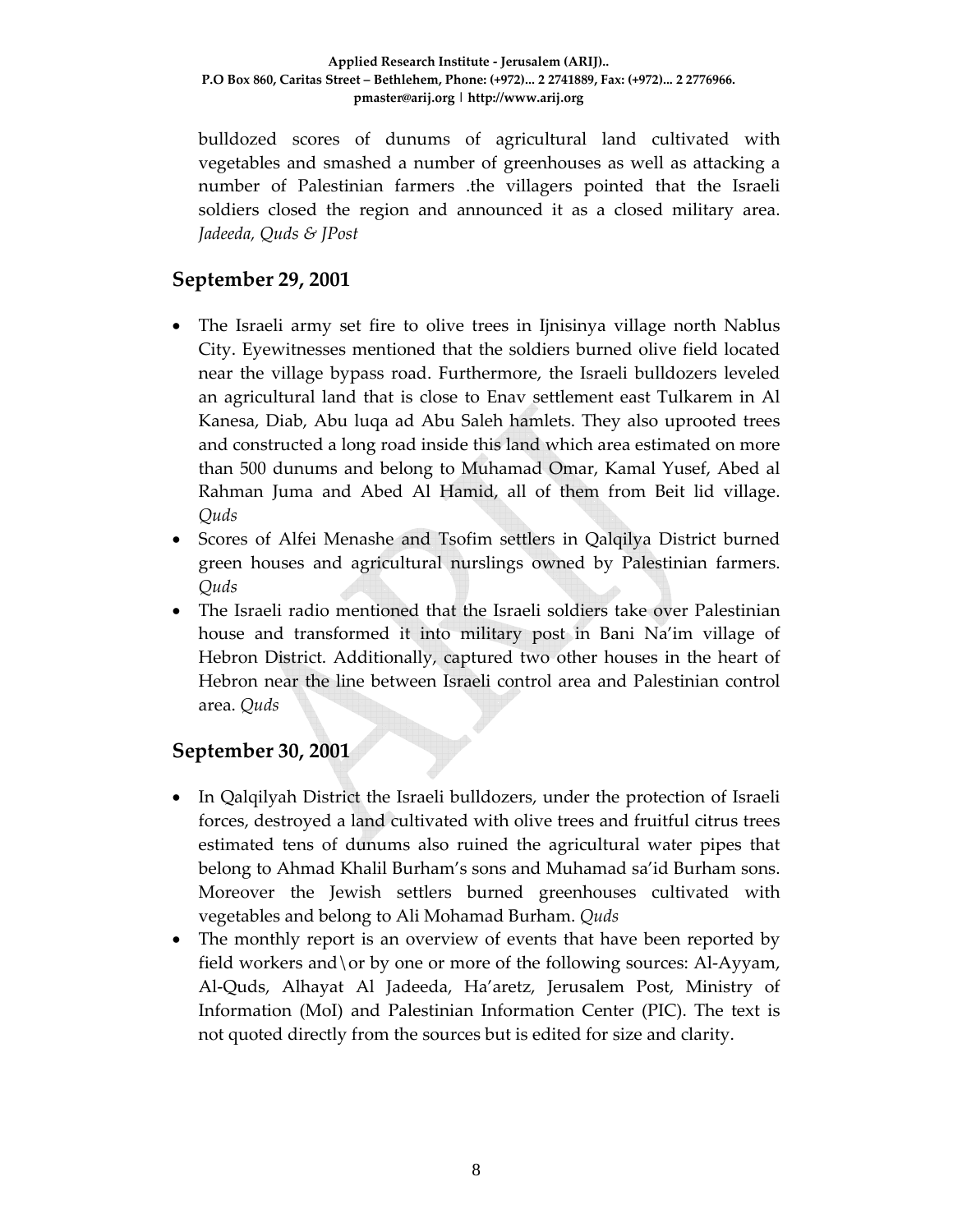bulldozed scores of dunums of agricultural land cultivated with vegetables and smashed a number of greenhouses as well as attacking a number of Palestinian farmers .the villagers pointed that the Israeli soldiers closed the region and announced it as a closed military area. *Jadeeda, Quds & JPost*

## **September 29, 2001**

- The Israeli army set fire to olive trees in Ijnisinya village north Nablus City. Eyewitnesses mentioned that the soldiers burned olive field located near the village bypass road. Furthermore, the Israeli bulldozers leveled an agricultural land that is close to Enav settlement east Tulkarem in Al Kanesa, Diab, Abu luqa ad Abu Saleh hamlets. They also uprooted trees and constructed a long road inside this land which area estimated on more than 500 dunums and belong to Muhamad Omar, Kamal Yusef, Abed al Rahman Juma and Abed Al Hamid, all of them from Beit lid village. *Quds*
- Scores of Alfei Menashe and Tsofim settlers in Qalqilya District burned green houses and agricultural nurslings owned by Palestinian farmers. *Quds*
- The Israeli radio mentioned that the Israeli soldiers take over Palestinian house and transformed it into military post in Bani Na'im village of Hebron District. Additionally, captured two other houses in the heart of Hebron near the line between Israeli control area and Palestinian control area. *Quds*

## **September 30, 2001**

- In Qalqilyah District the Israeli bulldozers, under the protection of Israeli forces, destroyed a land cultivated with olive trees and fruitful citrus trees estimated tens of dunums also ruined the agricultural water pipes that belong to Ahmad Khalil Burham's sons and Muhamad sa'id Burham sons. Moreover the Jewish settlers burned greenhouses cultivated with vegetables and belong to Ali Mohamad Burham. *Quds*
- The monthly report is an overview of events that have been reported by field workers and \ or by one or more of the following sources: Al-Ayyam, Al‐Quds, Alhayat Al Jadeeda, Ha'aretz, Jerusalem Post, Ministry of Information (MoI) and Palestinian Information Center (PIC). The text is not quoted directly from the sources but is edited for size and clarity.